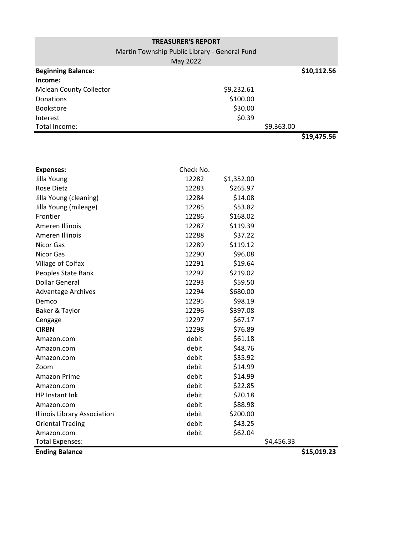| <b>TREASURER'S REPORT</b>           |                                               |             |  |  |  |  |  |  |  |  |
|-------------------------------------|-----------------------------------------------|-------------|--|--|--|--|--|--|--|--|
|                                     | Martin Township Public Library - General Fund |             |  |  |  |  |  |  |  |  |
|                                     | May 2022                                      |             |  |  |  |  |  |  |  |  |
| <b>Beginning Balance:</b>           |                                               | \$10,112.56 |  |  |  |  |  |  |  |  |
| Income:                             |                                               |             |  |  |  |  |  |  |  |  |
| <b>Mclean County Collector</b>      | \$9,232.61                                    |             |  |  |  |  |  |  |  |  |
| Donations                           | \$100.00                                      |             |  |  |  |  |  |  |  |  |
| Bookstore                           | \$30.00                                       |             |  |  |  |  |  |  |  |  |
| Interest                            | \$0.39                                        |             |  |  |  |  |  |  |  |  |
| Total Income:                       | \$9,363.00                                    |             |  |  |  |  |  |  |  |  |
|                                     |                                               | \$19,475.56 |  |  |  |  |  |  |  |  |
|                                     |                                               |             |  |  |  |  |  |  |  |  |
|                                     |                                               |             |  |  |  |  |  |  |  |  |
| <b>Expenses:</b>                    | Check No.                                     |             |  |  |  |  |  |  |  |  |
| Jilla Young                         | 12282<br>\$1,352.00                           |             |  |  |  |  |  |  |  |  |
| <b>Rose Dietz</b>                   | \$265.97<br>12283                             |             |  |  |  |  |  |  |  |  |
| Jilla Young (cleaning)              | \$14.08<br>12284                              |             |  |  |  |  |  |  |  |  |
| Jilla Young (mileage)               | \$53.82<br>12285                              |             |  |  |  |  |  |  |  |  |
| Frontier                            | \$168.02<br>12286                             |             |  |  |  |  |  |  |  |  |
| Ameren Illinois                     | \$119.39<br>12287                             |             |  |  |  |  |  |  |  |  |
| Ameren Illinois                     | \$37.22<br>12288                              |             |  |  |  |  |  |  |  |  |
| <b>Nicor Gas</b>                    | \$119.12<br>12289                             |             |  |  |  |  |  |  |  |  |
| <b>Nicor Gas</b>                    | \$96.08<br>12290                              |             |  |  |  |  |  |  |  |  |
| Village of Colfax                   | \$19.64<br>12291                              |             |  |  |  |  |  |  |  |  |
| Peoples State Bank                  | \$219.02<br>12292                             |             |  |  |  |  |  |  |  |  |
| <b>Dollar General</b>               | 12293<br>\$59.50                              |             |  |  |  |  |  |  |  |  |
| <b>Advantage Archives</b>           | \$680.00<br>12294                             |             |  |  |  |  |  |  |  |  |
| Demco                               | \$98.19<br>12295                              |             |  |  |  |  |  |  |  |  |
| Baker & Taylor                      | \$397.08<br>12296                             |             |  |  |  |  |  |  |  |  |
| Cengage                             | \$67.17<br>12297                              |             |  |  |  |  |  |  |  |  |
| <b>CIRBN</b>                        | \$76.89<br>12298                              |             |  |  |  |  |  |  |  |  |
| Amazon.com                          | \$61.18<br>debit                              |             |  |  |  |  |  |  |  |  |
| Amazon.com                          | \$48.76<br>debit                              |             |  |  |  |  |  |  |  |  |
| Amazon.com                          | \$35.92<br>debit                              |             |  |  |  |  |  |  |  |  |
| Zoom                                | debit<br>\$14.99                              |             |  |  |  |  |  |  |  |  |
| Amazon Prime                        | debit<br>\$14.99                              |             |  |  |  |  |  |  |  |  |
| Amazon.com                          | debit<br>\$22.85                              |             |  |  |  |  |  |  |  |  |
| HP Instant Ink                      | debit<br>\$20.18                              |             |  |  |  |  |  |  |  |  |
| Amazon.com                          | debit<br>\$88.98                              |             |  |  |  |  |  |  |  |  |
| <b>Illinois Library Association</b> | debit<br>\$200.00                             |             |  |  |  |  |  |  |  |  |
| <b>Oriental Trading</b>             | debit<br>\$43.25                              |             |  |  |  |  |  |  |  |  |
| Amazon.com                          | \$62.04<br>debit                              |             |  |  |  |  |  |  |  |  |
| <b>Total Expenses:</b>              | \$4,456.33                                    |             |  |  |  |  |  |  |  |  |
| <b>Ending Balance</b>               |                                               | \$15,019.23 |  |  |  |  |  |  |  |  |